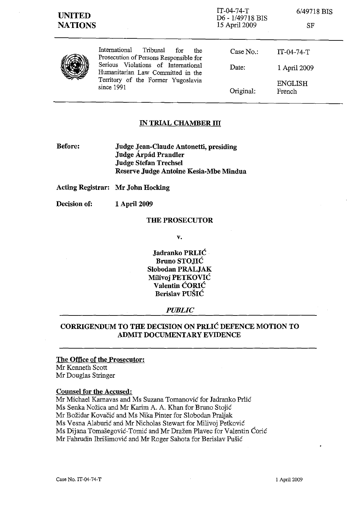| <b>UNITED</b><br><b>NATIONS</b> |                                                                                                                                                                                                                   | IT-04-74-T<br>D6 - 1/49718 BIS<br>15 April 2009 | 6/49718 BIS<br><b>SF</b> |
|---------------------------------|-------------------------------------------------------------------------------------------------------------------------------------------------------------------------------------------------------------------|-------------------------------------------------|--------------------------|
|                                 | International<br>Tribunal<br>for<br>the<br>Prosecution of Persons Responsible for<br>Serious Violations of International<br>Humanitarian Law Committed in the<br>Territory of the Former Yugoslavia<br>since 1991 | Case No.                                        | $IT-04-74-T$             |
|                                 |                                                                                                                                                                                                                   | Date:                                           | 1 April 2009             |
|                                 |                                                                                                                                                                                                                   | Original:                                       | <b>ENGLISH</b><br>French |

## **IN TRIAL CHAMBER III**

**Before: Judge Jean-Claude Antonetti, presiding Judge Arpad Prandler Judge Stefan Trechsel Reserve Judge Antoine Kesia-Mbe Mindua** 

**Acting Registrar: Mr John Hocking** 

**Decision of: 1** April 2009

## **THE PROSECUTOR**

**v.** 

**Jadranko PRLIC Brnno STOJIC Slobodan PRALJAK Milivoj PETKOVIC Valentin CORIC Berislav PUSIC** 

### *PUBLIC*

# **CORRIGENDUM TO THE DECISION ON PRLIC DEFENCE MOTION TO**  ADMIT DOCUMENTARY EVIDENCE

#### **The Office of the Prosecutor:**

Mr Kenneth Scott Mr Douglas Stringer

### **Counsel for the Accused:**

Mr Michael Karnavas and Ms Suzana Tomanović for Jadranko Prlić Ms Senka Nožica and Mr Karim A. A. Khan for Bruno Stojić Mr Bozidar Kovacic and Ms Nika Pinter for Slobodan Praljak Ms Vesna Alaburić and Mr Nicholas Stewart for Milivoj Petković Ms Dijana Tomašegović-Tomić and Mr Dražen Plavec for Valentin Ćorić Mr Fahrudin Ibrisimovic and Mr Roger Sahota for Berislav Pusic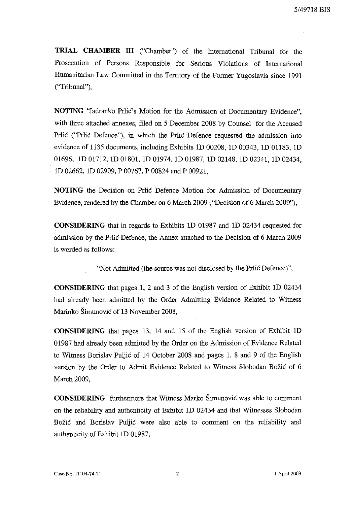**TRIAL CHAMBER III** ("Chamber") of the International Tribunal for the Prosecution of Persons Responsible for Serious Violations of International Humanitarian Law Committed in the Territory of the Former Yugoslavia since 1991 ("Tribunal"),

**NOTING** "Jadranko Prlic's Motion for the Admission of Documentary Evidence", with three attached annexes, filed on 5 December 2008 by Counsel for the Accused Prlic ("Prlic Defence"), in which the Prlic Defence requested the admission into evidence of 1135 documents, including Exhibits 1D 00208, 1D 00343, 1D 01183, 1D 01696, 1D 01712, 1D 01801, 1D 01974, 1D 01987, 1D 02148, 1D 02341, 1D 02434, 1D 02662, 1D 02909, P 00767, P 00824 and P 00921,

**NOTING** the Decision on Prlic Defence Motion for Admission of Documentary Evidence, rendered by the Chamber on 6 March 2009 ("Decision of 6 March 2009"),

**CONSIDERING** that in regards to Exhibits 1D 01987 and 1D 02434 requested for admission by the Prlic Defence, the Annex attached to the Decision of 6 March 2009 is worded as follows:

"Not Admitted (the source was not disclosed by the Prlic Defence)",

**CONSIDERING** that pages 1, 2 and 3 of the English version of Exhibit 1D 02434 had already been admitted by the Order Admitting Evidence Related to Witness Marinko Simunovic of 13 November 2008,

**CONSIDERING** that pages 13, 14 and 15 of the English version of Exhibit 1D 01987 had already been admitted by the Order on the Admission of Evidence Related to Witness Borislav Puljic of 14 October 2008 and pages 1, 8 and 9 of the English version by the Order to Admit Evidence Related to Witness Slobodan Bozic of 6 March 2009,

**CONSIDERING** furthermore that Witness Marko Simunovic was able to comment on the reliability and authenticity of Exhibit 10 02434 and that Witnesses Slobodan Bozic and Borislav Puljic were also able to comment on the reliability and authenticity of Exhibit 1D 01987,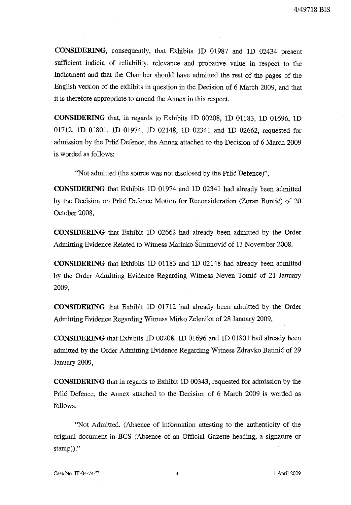**CONSIDERING,** consequently, that Exhibits 10 01987 and 10 02434 present sufficient indicia of reliability, relevance and probative value in respect to the Indictment and that the Chamber should have admitted the rest of the pages of the English version of the exhibits in question in the Decision of 6 March 2009, and that it is therefore appropriate to amend the Annex in this respect,

**CONSIDERING** that, in regards to Exhibits 10 00208, 10 01183, 10 01696, 10 01712, 10 01801, 10 01974, 10 02148, 10 02341 and 10 02662, requested for admission by the Prlic Defence, the Annex attached to the Decision of 6 March 2009 is worded as follows:

"Not admitted (the source was not disclosed by the Prlic Defence)",

**CONSIDERING** that Exhibits 10 01974 and 10 02341 had already been admitted by the Decision on Prlic Defence Motion for Reconsideration (Zoran Buntic) of 20 October 2008,

**CONSIDERING** that Exhibit 10 02662 had already been admitted by the Order Admitting Evidence Related to Witness Marinko Simunovic of 13 November 2008,

**CONSIDERING** that Exhibits 10 01183 and 10 02148 had already been admitted by the Order Admitting Evidence Regarding Witness Neven Tomic of 21 January 2009,

**CONSIDERING** that Exhibit 10 01712 had already been admitted by the Order Admitting Evidence Regarding Witness Mirko Zelenika of 28 January 2009,

**CONSIDERING** that Exhibits 10 00208, 10 01696 and 10 01801 had already been admitted by the Order Admitting Evidence Regarding Witness Zdravko Batinic of 29 January 2009,

**CONSIDERING** that in regards to Exhibit 1D 00343, requested for admission by the Prlic Defence, the Annex attached to the Decision of 6 March 2009 is worded as follows:

"Not Admitted. (Absence of information attesting to the authenticity of the original document in BCS (Absence of an Official Gazette heading, a signature or stamp))."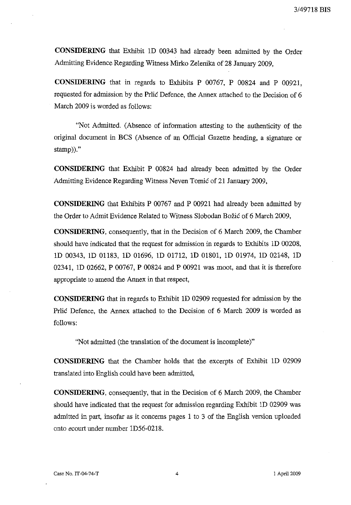**CONSIDERING** that Exhibit 1D 00343 had already been admitted by the Order Admitting Evidence Regarding Witness Mirko Zelenika of 28 January 2009,

**CONSIDERING** that in regards to Exhibits P 00767, P 00824 and P 00921, requested for admission by the Prlic Defence, the Annex attached to the Decision of 6 March 2009 is worded as follows:

"Not Admitted. (Absence of infonnation attesting to the authenticity of the original document in BCS (Absence of an Official Gazette heading, a signature or stamp))."

**CONSIDERING** that Exhibit P 00824 had already been admitted by the Order Admitting Evidence Regarding Witness Neven Tomic of 21 January 2009,

**CONSIDERING** that Exhibits P 00767 and P 00921 had already been admitted by the Order to Admit Evidence Related to Witness Slobodan Bozic of 6 March 2009,

**CONSIDERING,** consequently, that in the Decision of 6 March 2009, the Chamber should have indicated that the request for admission in regards to Exhibits 1D 00208, 1D 00343, 1D 01183, 1D 01696, 1D 01712, 1D 01801, 1D 01974, 1D 02148, 1D 02341, 1D 02662, P 00767, P 00824 and P 00921 was moot, and that it is therefore appropriate to amend the Annex in that respect,

**CONSIDERING** that in regards to Exhibit 1D 02909 requested for admission by the Prlic Defence, the Annex attached to the Decision of 6 March 2009 is worded as follows:

"Not admitted (the translation of the document is incomplete)"

**CONSIDERING** that the Chamber holds that the excerpts of Exhibit 1D 02909 translated into English could have been admitted,

**CONSIDERING,** consequently, that in the Decision of 6 March 2009, the Chamber should have indicated that the request for admission regarding Exhibit ID 02909 was admitted in part, insofar as it concerns pages 1 to 3 of the English version uploaded onto ecourt under number 1D56-0218.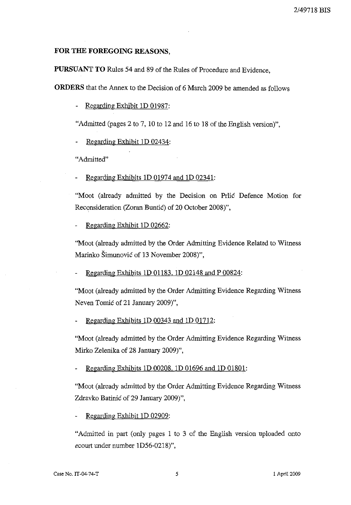## **FOR THE FOREGOING REASONS,**

**PURSUANT TO** Rules 54 and 89 of the Rules of Procedure and Evidence,

**ORDERS** that the Annex to the Decision of 6 March 2009 be amended as follows

Regarding Exhibit 1D 01987:

"Admitted (pages 2 to 7, 10 to 12 and 16 to 18 of the English version)",

Regarding Exhibit 1D 02434:

"Admitted"

Regarding Exhibits 1D 01974 and 1D 02341:

"Moot (already admitted by the Decision on Prlic Defence Motion for Reconsideration (Zoran Buntic) of 20 October 2008)",

Regarding Exhibit 1D 02662:

''Moot (already admitted by the Order Admitting Evidence Related to Witness Marinko Šimunović of 13 November 2008)",

Regarding Exhibits 1D 01183, 1D 02148 and P 00824:

"Moot (already admitted by the Order Admitting Evidence Regarding Witness Neven Tomić of 21 January 2009)",

Regarding Exhibits 1D 00343 and 1D 01712:

"Moot (already admitted by the Order Admitting Evidence Regarding Witness Mirko Zelenika of 28 January 2009)",

Regarding Exhibits 1D 00208. 1D 01696 and 1D 01801:

"Moot (already admitted by the Order Admitting Evidence Regarding Witness Zdravko Batinić of 29 January 2009)",

Regarding Exhibit 1D 02909:

"Admitted in part (only pages 1 to 3 of the English version uploaded onto *ecourt* under number ID56-0218)",